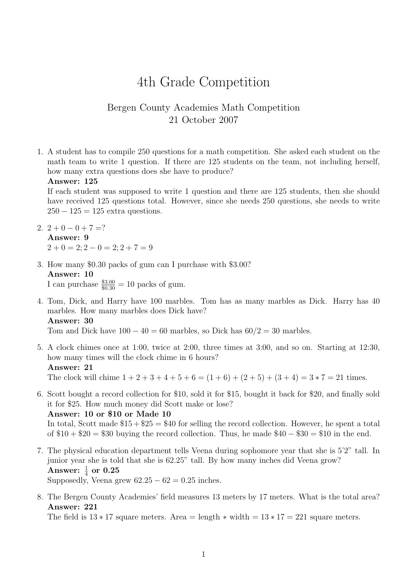# 4th Grade Competition

# Bergen County Academies Math Competition 21 October 2007

1. A student has to compile 250 questions for a math competition. She asked each student on the math team to write 1 question. If there are 125 students on the team, not including herself, how many extra questions does she have to produce?

```
Answer: 125
```
If each student was supposed to write 1 question and there are 125 students, then she should have received 125 questions total. However, since she needs 250 questions, she needs to write  $250 - 125 = 125$  extra questions.

- 2.  $2+0-0+7=?$ Answer: 9  $2 + 0 = 2$ ;  $2 - 0 = 2$ ;  $2 + 7 = 9$
- 3. How many \$0.30 packs of gum can I purchase with \$3.00? Answer: 10

I can purchase  $\frac{$3.00}{0.30} = 10$  packs of gum.

4. Tom, Dick, and Harry have 100 marbles. Tom has as many marbles as Dick. Harry has 40 marbles. How many marbles does Dick have?

# Answer: 30

Tom and Dick have  $100 - 40 = 60$  marbles, so Dick has  $60/2 = 30$  marbles.

5. A clock chimes once at 1:00, twice at 2:00, three times at 3:00, and so on. Starting at 12:30, how many times will the clock chime in 6 hours? Answer: 21

The clock will chime  $1 + 2 + 3 + 4 + 5 + 6 = (1 + 6) + (2 + 5) + (3 + 4) = 3 \times 7 = 21$  times.

6. Scott bought a record collection for \$10, sold it for \$15, bought it back for \$20, and finally sold it for \$25. How much money did Scott make or lose? Answer: 10 or \$10 or Made 10

In total, Scott made  $$15 + $25 = $40$  for selling the record collection. However, he spent a total of  $$10 + $20 = $30$  buying the record collection. Thus, he made  $$40 - $30 = $10$  in the end.

7. The physical education department tells Veena during sophomore year that she is 5'2" tall. In junior year she is told that she is 62.25" tall. By how many inches did Veena grow? Answer:  $\frac{1}{4}$  or  $0.25$ 

Supposedly, Veena grew  $62.25 - 62 = 0.25$  inches.

8. The Bergen County Academies' field measures 13 meters by 17 meters. What is the total area? Answer: 221

The field is  $13 * 17$  square meters. Area = length  $*$  width =  $13 * 17 = 221$  square meters.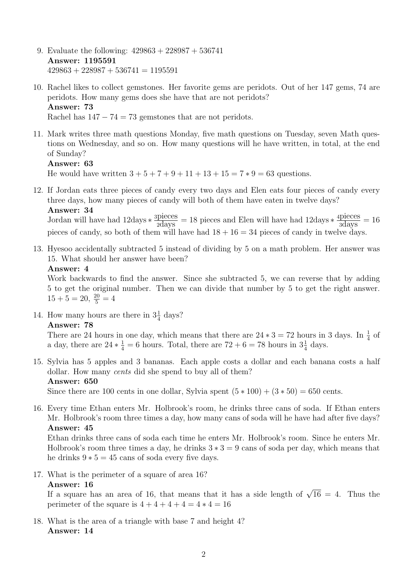- 9. Evaluate the following: 429863 + 228987 + 536741 Answer: 1195591  $429863 + 228987 + 536741 = 1195591$
- 10. Rachel likes to collect gemstones. Her favorite gems are peridots. Out of her 147 gems, 74 are peridots. How many gems does she have that are not peridots? Answer: 73 Rachel has  $147 - 74 = 73$  gemstones that are not peridots.
- 11. Mark writes three math questions Monday, five math questions on Tuesday, seven Math questions on Wednesday, and so on. How many questions will he have written, in total, at the end of Sunday?

```
Answer: 63
```
He would have written  $3 + 5 + 7 + 9 + 11 + 13 + 15 = 7 * 9 = 63$  questions.

12. If Jordan eats three pieces of candy every two days and Elen eats four pieces of candy every three days, how many pieces of candy will both of them have eaten in twelve days? Answer: 34

Jordan will have had  $12 \text{days} * \frac{\text{spieces}}{\text{2days}} = 18$  pieces and Elen will have had  $12 \text{days} * \frac{\text{4pieces}}{\text{3days}} = 16$ pieces of candy, so both of them will have had  $18 + 16 = 34$  pieces of candy in twelve days.

13. Hyesoo accidentally subtracted 5 instead of dividing by 5 on a math problem. Her answer was 15. What should her answer have been?

# Answer: 4

Work backwards to find the answer. Since she subtracted 5, we can reverse that by adding 5 to get the original number. Then we can divide that number by 5 to get the right answer.  $15 + 5 = 20, \frac{20}{5} = 4$ 

14. How many hours are there in  $3\frac{1}{4}$  days?

# Answer: 78

There are 24 hours in one day, which means that there are  $24 * 3 = 72$  hours in 3 days. In  $\frac{1}{4}$  of a day, there are  $24 * \frac{1}{4} = 6$  hours. Total, there are  $72 + 6 = 78$  hours in  $3\frac{1}{4}$  days.

15. Sylvia has 5 apples and 3 bananas. Each apple costs a dollar and each banana costs a half dollar. How many cents did she spend to buy all of them? Answer: 650

Since there are 100 cents in one dollar, Sylvia spent  $(5 * 100) + (3 * 50) = 650$  cents.

16. Every time Ethan enters Mr. Holbrook's room, he drinks three cans of soda. If Ethan enters Mr. Holbrook's room three times a day, how many cans of soda will he have had after five days? Answer: 45

Ethan drinks three cans of soda each time he enters Mr. Holbrook's room. Since he enters Mr. Holbrook's room three times a day, he drinks  $3 * 3 = 9$  cans of soda per day, which means that he drinks  $9 * 5 = 45$  cans of soda every five days.

17. What is the perimeter of a square of area 16?

# Answer: 16

**Answer: 16**<br>If a square has an area of 16, that means that it has a side length of  $\sqrt{16} = 4$ . Thus the perimeter of the square is  $4 + 4 + 4 + 4 = 4 * 4 = 16$ 

18. What is the area of a triangle with base 7 and height 4? Answer: 14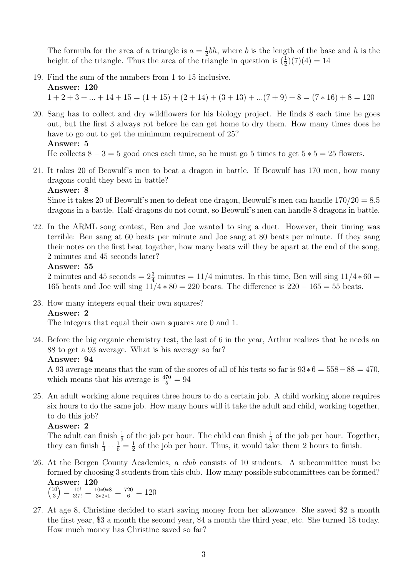The formula for the area of a triangle is  $a = \frac{1}{2}$  $\frac{1}{2}bh$ , where b is the length of the base and h is the height of the triangle. Thus the area of the triangle in question is  $(\frac{1}{2})(7)(4) = 14$ 

19. Find the sum of the numbers from 1 to 15 inclusive. Answer: 120

 $1 + 2 + 3 + \ldots + 14 + 15 = (1 + 15) + (2 + 14) + (3 + 13) + \ldots (7 + 9) + 8 = (7 * 16) + 8 = 120$ 

20. Sang has to collect and dry wildflowers for his biology project. He finds 8 each time he goes out, but the first 3 always rot before he can get home to dry them. How many times does he have to go out to get the minimum requirement of 25? Answer: 5

He collects  $8 - 3 = 5$  good ones each time, so he must go 5 times to get  $5 * 5 = 25$  flowers.

21. It takes 20 of Beowulf's men to beat a dragon in battle. If Beowulf has 170 men, how many dragons could they beat in battle?

#### Answer: 8

Since it takes 20 of Beowulf's men to defeat one dragon, Beowulf's men can handle  $170/20 = 8.5$ dragons in a battle. Half-dragons do not count, so Beowulf's men can handle 8 dragons in battle.

22. In the ARML song contest, Ben and Joe wanted to sing a duet. However, their timing was terrible: Ben sang at 60 beats per minute and Joe sang at 80 beats per minute. If they sang their notes on the first beat together, how many beats will they be apart at the end of the song, 2 minutes and 45 seconds later?

#### Answer: 55

2 minutes and 45 seconds =  $2\frac{3}{4}$  minutes = 11/4 minutes. In this time, Ben will sing  $11/4 * 60 =$ 165 beats and Joe will sing  $11/4 * 80 = 220$  beats. The difference is  $220 - 165 = 55$  beats.

23. How many integers equal their own squares?

#### Answer: 2

The integers that equal their own squares are 0 and 1.

24. Before the big organic chemistry test, the last of 6 in the year, Arthur realizes that he needs an 88 to get a 93 average. What is his average so far?

# Answer: 94

A 93 average means that the sum of the scores of all of his tests so far is  $93*6 = 558-88 = 470$ , which means that his average is  $\frac{470}{5} = 94$ 

25. An adult working alone requires three hours to do a certain job. A child working alone requires six hours to do the same job. How many hours will it take the adult and child, working together, to do this job?

# Answer: 2

The adult can finish  $\frac{1}{3}$  of the job per hour. The child can finish  $\frac{1}{6}$  of the job per hour. Together, they can finish  $\frac{1}{3} + \frac{1}{6} = \frac{1}{2}$  $\frac{1}{2}$  of the job per hour. Thus, it would take them 2 hours to finish.

26. At the Bergen County Academies, a club consists of 10 students. A subcommittee must be formed by choosing 3 students from this club. How many possible subcommittees can be formed? Answer: 120

 $(10$ 3  $=\frac{10!}{3!7!} = \frac{10*9*8}{3*2*1} = \frac{720}{6} = 120$ 

27. At age 8, Christine decided to start saving money from her allowance. She saved \$2 a month the first year, \$3 a month the second year, \$4 a month the third year, etc. She turned 18 today. How much money has Christine saved so far?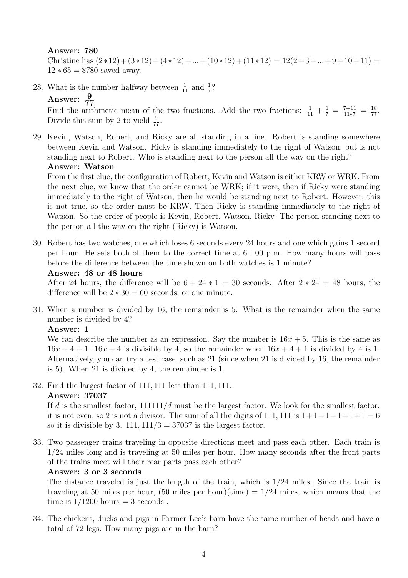#### Answer: 780

Christine has  $(2*12)+(3*12)+(4*12)+...+(10*12)+(11*12)=12(2+3+...+9+10+11)=$  $12 * 65 = $780$  saved away.

28. What is the number halfway between  $\frac{1}{11}$  and  $\frac{1}{7}$ ? Answer:  $\frac{9}{77}$ 

Find the arithmetic mean of the two fractions. Add the two fractions:  $\frac{1}{11} + \frac{1}{7} = \frac{7+11}{11*7} = \frac{18}{77}$ . Divide this sum by 2 to yield  $\frac{9}{77}$ .

29. Kevin, Watson, Robert, and Ricky are all standing in a line. Robert is standing somewhere between Kevin and Watson. Ricky is standing immediately to the right of Watson, but is not standing next to Robert. Who is standing next to the person all the way on the right?

Answer: Watson

From the first clue, the configuration of Robert, Kevin and Watson is either KRW or WRK. From the next clue, we know that the order cannot be WRK; if it were, then if Ricky were standing immediately to the right of Watson, then he would be standing next to Robert. However, this is not true, so the order must be KRW. Then Ricky is standing immediately to the right of Watson. So the order of people is Kevin, Robert, Watson, Ricky. The person standing next to the person all the way on the right (Ricky) is Watson.

30. Robert has two watches, one which loses 6 seconds every 24 hours and one which gains 1 second per hour. He sets both of them to the correct time at 6 : 00 p.m. How many hours will pass before the difference between the time shown on both watches is 1 minute?

Answer: 48 or 48 hours

After 24 hours, the difference will be  $6 + 24 * 1 = 30$  seconds. After  $2 * 24 = 48$  hours, the difference will be  $2 \times 30 = 60$  seconds, or one minute.

31. When a number is divided by 16, the remainder is 5. What is the remainder when the same number is divided by 4?

# Answer: 1

We can describe the number as an expression. Say the number is  $16x + 5$ . This is the same as  $16x + 4 + 1$ .  $16x + 4$  is divisible by 4, so the remainder when  $16x + 4 + 1$  is divided by 4 is 1. Alternatively, you can try a test case, such as 21 (since when 21 is divided by 16, the remainder is 5). When 21 is divided by 4, the remainder is 1.

32. Find the largest factor of 111, 111 less than 111, 111.

# Answer: 37037

If d is the smallest factor,  $111111/d$  must be the largest factor. We look for the smallest factor: it is not even, so 2 is not a divisor. The sum of all the digits of 111, 111 is  $1+1+1+1+1=6$ so it is divisible by 3. 111,  $111/3 = 37037$  is the largest factor.

33. Two passenger trains traveling in opposite directions meet and pass each other. Each train is 1/24 miles long and is traveling at 50 miles per hour. How many seconds after the front parts of the trains meet will their rear parts pass each other?

# Answer: 3 or 3 seconds

The distance traveled is just the length of the train, which is 1/24 miles. Since the train is traveling at 50 miles per hour,  $(50 \text{ miles per hour})(time) = 1/24 \text{ miles}$ , which means that the time is  $1/1200$  hours  $= 3$  seconds.

34. The chickens, ducks and pigs in Farmer Lee's barn have the same number of heads and have a total of 72 legs. How many pigs are in the barn?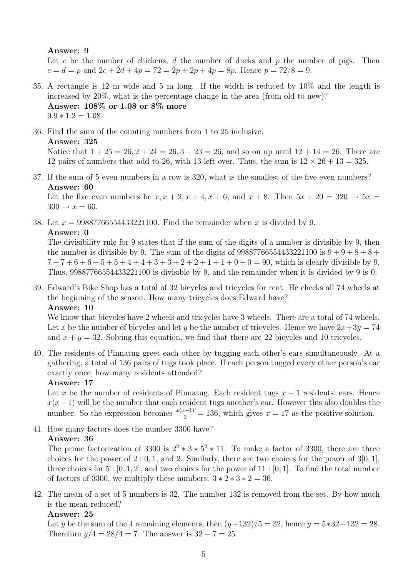#### Answer: 9

Let c be the number of chickens, d the number of ducks and  $p$  the number of pigs. Then  $c = d = p$  and  $2c + 2d + 4p = 72 = 2p + 2p + 4p = 8p$ . Hence  $p = 72/8 = 9$ .

- 35. A rectangle is 12 m wide and 5 m long. If the width is reduced by 10% and the length is increased by 20%, what is the percentage change in the area (from old to new)? Answer: 108% or 1.08 or 8% more  $0.9 * 1.2 = 1.08$
- 36. Find the sum of the counting numbers from 1 to 25 inclusive.

#### Answer: 325

Notice that  $1 + 25 = 26$ ,  $2 + 24 = 26$ ,  $3 + 23 = 26$ , and so on up until  $12 + 14 = 26$ . There are 12 pairs of numbers that add to 26, with 13 left over. Thus, the sum is  $12 \times 26 + 13 = 325$ .

37. If the sum of 5 even numbers in a row is 320, what is the smallest of the five even numbers? Answer: 60

Let the five even numbers be  $x, x + 2, x + 4, x + 6$ , and  $x + 8$ . Then  $5x + 20 = 320 \rightarrow 5x =$  $300 \rightarrow x = 60.$ 

38. Let  $x = 99887766554433221100$ . Find the remainder when x is divided by 9.

#### Answer: 0

The divisibility rule for 9 states that if the sum of the digits of a number is divisible by 9, then the number is divisible by 9. The sum of the digits of  $99887766554433221100$  is  $9+9+8+8+$  $7+7+6+6+5+5+4+4+3+3+2+2+1+1+0+0=90$ , which is clearly divisible by 9. Thus, 99887766554433221100 is divisible by 9, and the remainder when it is divided by 9 is 0.

39. Edward's Bike Shop has a total of 32 bicycles and tricycles for rent. He checks all 74 wheels at the beginning of the season. How many tricycles does Edward have? Answer: 10

We know that bicycles have 2 wheels and tricycles have 3 wheels. There are a total of 74 wheels. Let x be the number of bicycles and let y be the number of tricycles. Hence we have  $2x+3y=74$ and  $x + y = 32$ . Solving this equation, we find that there are 22 bicycles and 10 tricycles.

40. The residents of Pinnatug greet each other by tugging each other's ears simultaneously. At a gathering, a total of 136 pairs of tugs took place. If each person tugged every other person's ear exactly once, how many residents attended?

# Answer: 17

Let x be the number of residents of Pinnatug. Each resident tugs  $x - 1$  residents' ears. Hence  $x(x-1)$  will be the number that each resident tugs another's ear. However this also doubles the number. So the expression becomes  $\frac{x(x-1)}{2} = 136$ , which gives  $x = 17$  as the positive solution.

41. How many factors does the number 3300 have? Answer: 36

The prime factorization of 3300 is  $2^2 * 3 * 5^2 * 11$ . To make a factor of 3300, there are three choices for the power of  $2:0,1$ , and 2. Similarly, there are two choices for the power of  $3[0,1]$ , three choices for  $5:[0,1,2]$ , and two choices for the power of  $11:[0,1]$ . To find the total number of factors of 3300, we multiply these numbers:  $3 * 2 * 3 * 2 = 36$ .

42. The mean of a set of 5 numbers is 32. The number 132 is removed from the set. By how much is the mean reduced?

#### Answer: 25

Let y be the sum of the 4 remaining elements, then  $(y+132)/5 = 32$ , hence  $y = 5*32-132 = 28$ . Therefore  $y/4 = 28/4 = 7$ . The answer is  $32 - 7 = 25$ .